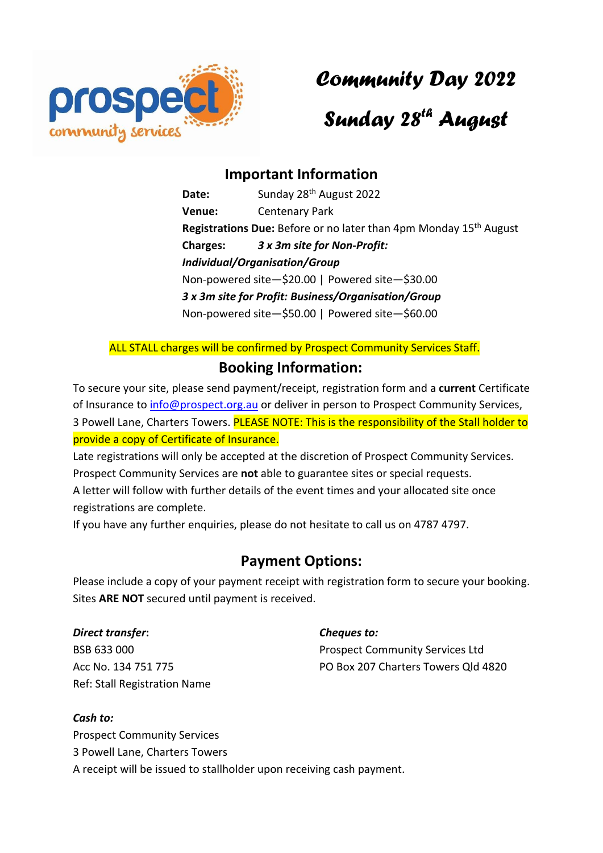

*Community Day 2022*

## *Sunday 28 th August*

## **Important Information**

Date: Sunday 28<sup>th</sup> August 2022 **Venue:** Centenary Park Registrations Due: Before or no later than 4pm Monday 15<sup>th</sup> August **Charges:** *3 x 3m site for Non-Profit: Individual/Organisation/Group* Non-powered site—\$20.00 | Powered site—\$30.00 *3 x 3m site for Profit: Business/Organisation/Group* Non-powered site—\$50.00 | Powered site—\$60.00

ALL STALL charges will be confirmed by Prospect Community Services Staff.

## **Booking Information:**

To secure your site, please send payment/receipt, registration form and a **current** Certificate of Insurance to [info@prospect.org.au](mailto:info@prospect.org.au) or deliver in person to Prospect Community Services, 3 Powell Lane, Charters Towers. PLEASE NOTE: This is the responsibility of the Stall holder to provide a copy of Certificate of Insurance.

Late registrations will only be accepted at the discretion of Prospect Community Services. Prospect Community Services are **not** able to guarantee sites or special requests. A letter will follow with further details of the event times and your allocated site once

registrations are complete.

If you have any further enquiries, please do not hesitate to call us on 4787 4797.

### **Payment Options:**

Please include a copy of your payment receipt with registration form to secure your booking. Sites **ARE NOT** secured until payment is received.

*Direct transfer***:** BSB 633 000 Acc No. 134 751 775 Ref: Stall Registration Name

#### *Cheques to:*

Prospect Community Services Ltd PO Box 207 Charters Towers Qld 4820

#### *Cash to:*

Prospect Community Services 3 Powell Lane, Charters Towers A receipt will be issued to stallholder upon receiving cash payment.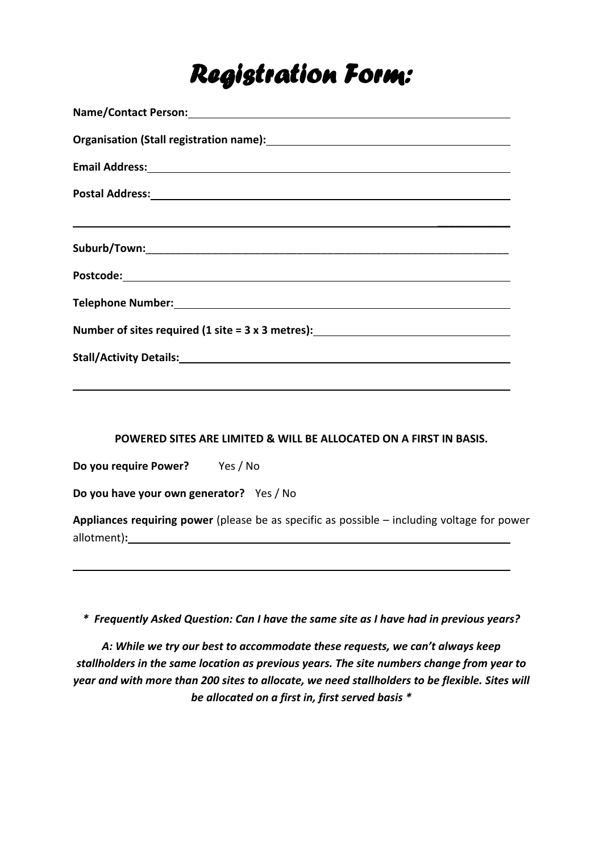# *Registration Form:*

| ,我们也不会有什么。""我们的人,我们也不会有什么?""我们的人,我们也不会有什么?""我们的人,我们也不会有什么?""我们的人,我们也不会有什么?""我们的人 |  |  |  |  |
|----------------------------------------------------------------------------------|--|--|--|--|
|                                                                                  |  |  |  |  |
|                                                                                  |  |  |  |  |
|                                                                                  |  |  |  |  |
| Number of sites required (1 site = 3 x 3 metres): ______________________________ |  |  |  |  |
| Stall/Activity Details: Stall Activity Details:                                  |  |  |  |  |
|                                                                                  |  |  |  |  |

#### **POWERED SITES ARE LIMITED & WILL BE ALLOCATED ON A FIRST IN BASIS.**

**Do you require Power?** Yes / No

**Do you have your own generator?** Yes / No

**Appliances requiring power** (please be as specific as possible – including voltage for power allotment)**:**

*\* Frequently Asked Question: Can I have the same site as I have had in previous years?*

*A: While we try our best to accommodate these requests, we can't always keep stallholders in the same location as previous years. The site numbers change from year to year and with more than 200 sites to allocate, we need stallholders to be flexible. Sites will be allocated on a first in, first served basis \**